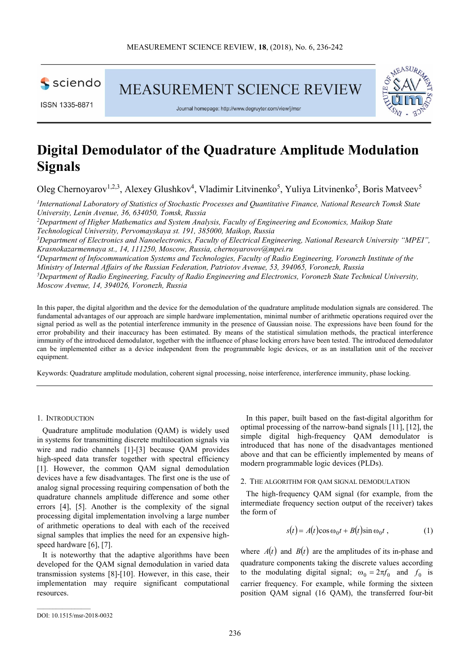sciendo

MEASUREMENT SCIENCE REVIEW



Journal homepage: http://www.degruyter.com/view/j/msr

# **Digital Demodulator of the Quadrature Amplitude Modulation Signals**

Oleg Chernoyarov<sup>1,2,3</sup>, Alexey Glushkov<sup>4</sup>, Vladimir Litvinenko<sup>5</sup>, Yuliya Litvinenko<sup>5</sup>, Boris Matveev<sup>5</sup>

*1 International Laboratory of Statistics of Stochastic Processes and Quantitative Finance, National Research Tomsk State University, Lenin Avenue, 36, 634050, Tomsk, Russia*

*<sup>2</sup>Department of Higher Mathematics and System Analysis, Faculty of Engineering and Economics, Maikop State Technological University, Pervomayskaya st. 191, 385000, Maikop, Russia*

*<sup>3</sup>Department of Electronics and Nanoelectronics, Faculty of Electrical Engineering, National Research University "MPEI", Krasnokazarmennaya st., 14, 111250, Moscow, Russia, chernoyarovov@mpei.ru* 

*<sup>4</sup>Department of Infocommunication Systems and Technologies, Faculty of Radio Engineering, Voronezh Institute of the Ministry of Internal Affairs of the Russian Federation, Patriotov Avenue, 53, 394065, Voronezh, Russia*

*<sup>5</sup>Department of Radio Engineering, Faculty of Radio Engineering and Electronics, Voronezh State Technical University, Moscow Avenue, 14, 394026, Voronezh, Russia* 

In this paper, the digital algorithm and the device for the demodulation of the quadrature amplitude modulation signals are considered. The fundamental advantages of our approach are simple hardware implementation, minimal number of arithmetic operations required over the signal period as well as the potential interference immunity in the presence of Gaussian noise. The expressions have been found for the error probability and their inaccuracy has been estimated. By means of the statistical simulation methods, the practical interference immunity of the introduced demodulator, together with the influence of phase locking errors have been tested. The introduced demodulator can be implemented either as a device independent from the programmable logic devices, or as an installation unit of the receiver equipment.

Keywords: Quadrature amplitude modulation, coherent signal processing, noise interference, interference immunity, phase locking.

### 1. INTRODUCTION

Quadrature amplitude modulation (QAM) is widely used in systems for transmitting discrete multilocation signals via wire and radio channels [1]-[3] because QAM provides high-speed data transfer together with spectral efficiency [1]. However, the common QAM signal demodulation devices have a few disadvantages. The first one is the use of analog signal processing requiring compensation of both the quadrature channels amplitude difference and some other errors [4], [5]. Another is the complexity of the signal processing digital implementation involving a large number of arithmetic operations to deal with each of the received signal samples that implies the need for an expensive highspeed hardware [6], [7].

It is noteworthy that the adaptive algorithms have been developed for the QAM signal demodulation in varied data transmission systems [8]-[10]. However, in this case, their implementation may require significant computational resources.

In this paper, built based on the fast-digital algorithm for optimal processing of the narrow-band signals [11], [12], the simple digital high-frequency QAM demodulator is introduced that has none of the disadvantages mentioned above and that can be efficiently implemented by means of modern programmable logic devices (PLDs).

#### 2. THE ALGORITHM FOR QAM SIGNAL DEMODULATION

The high-frequency QAM signal (for example, from the intermediate frequency section output of the receiver) takes the form of

$$
s(t) = A(t)\cos\omega_0 t + B(t)\sin\omega_0 t , \qquad (1)
$$

where  $A(t)$  and  $B(t)$  are the amplitudes of its in-phase and quadrature components taking the discrete values according to the modulating digital signal;  $\omega_0 = 2\pi f_0$  and  $f_0$  is carrier frequency. For example, while forming the sixteen position QAM signal (16 QAM), the transferred four-bit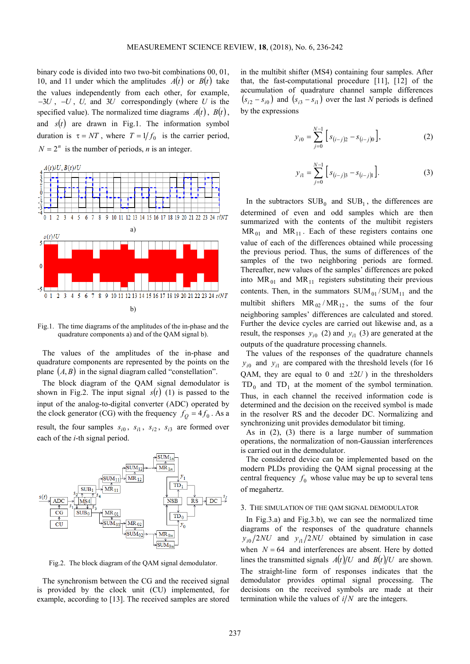binary code is divided into two two-bit combinations 00, 01, 10, and 11 under which the amplitudes  $A(t)$  or  $B(t)$  take the values independently from each other, for example, −3*U* , −*U* , *U,* and 3*U* correspondingly (where *U* is the specified value). The normalized time diagrams  $A(t)$ ,  $B(t)$ , and  $s(t)$  are drawn in Fig.1. The information symbol duration is  $\tau = NT$ , where  $T = 1/f_0$  is the carrier period,  $N = 2^n$  is the number of periods, *n* is an integer.



Fig.1. The time diagrams of the amplitudes of the in-phase and the quadrature components a) and of the QAM signal b).

The values of the amplitudes of the in-phase and quadrature components are represented by the points on the plane  $(A, B)$  in the signal diagram called "constellation".

The block diagram of the QAM signal demodulator is shown in Fig.2. The input signal  $s(t)$  (1) is passed to the input of the analog-to-digital converter (ADC) operated by the clock generator (CG) with the frequency  $f_Q = 4f_0$ . As a result, the four samples  $s_{i0}$ ,  $s_{i1}$ ,  $s_{i2}$ ,  $s_{i3}$  are formed over each of the *i*-th signal period.



Fig.2. The block diagram of the QAM signal demodulator.

The synchronism between the CG and the received signal is provided by the clock unit (CU) implemented, for example, according to [13]. The received samples are stored in the multibit shifter (MS4) containing four samples. After that, the fast-computational procedure [11], [12] of the accumulation of quadrature channel sample differences  $(s_{i2} - s_{i0})$  and  $(s_{i3} - s_{i1})$  over the last *N* periods is defined by the expressions

$$
y_{i0} = \sum_{j=0}^{N-1} \left[ s_{(i-j)2} - s_{(i-j)0} \right],
$$
 (2)

$$
y_{i1} = \sum_{j=0}^{N-1} \left[ s_{(i-j)3} - s_{(i-j)1} \right].
$$
 (3)

In the subtractors  $SUB_0$  and  $SUB_1$ , the differences are determined of even and odd samples which are then summarized with the contents of the multibit registers  $MR_{01}$  and  $MR_{11}$ . Each of these registers contains one value of each of the differences obtained while processing the previous period. Thus, the sums of differences of the samples of the two neighboring periods are formed. Thereafter, new values of the samples' differences are poked into  $MR_{01}$  and  $MR_{11}$  registers substituting their previous contents. Then, in the summators  $SUM_{01}/SUM_{11}$  and the multibit shifters  $MR_{02}/MR_{12}$ , the sums of the four neighboring samples' differences are calculated and stored. Further the device cycles are carried out likewise and, as a result, the responses  $y_{i0}$  (2) and  $y_{i1}$  (3) are generated at the outputs of the quadrature processing channels.

The values of the responses of the quadrature channels  $y_{i0}$  and  $y_{i1}$  are compared with the threshold levels (for 16 QAM, they are equal to 0 and  $\pm 2U$ ) in the thresholders  $TD_0$  and  $TD_1$  at the moment of the symbol termination. Thus, in each channel the received information code is determined and the decision on the received symbol is made in the resolver RS and the decoder DC. Normalizing and synchronizing unit provides demodulator bit timing.

As in (2), (3) there is a large number of summation operations, the normalization of non-Gaussian interferences is carried out in the demodulator.

The considered device can be implemented based on the modern PLDs providing the QAM signal processing at the central frequency  $f_0$  whose value may be up to several tens of megahertz.

#### 3. THE SIMULATION OF THE QAM SIGNAL DEMODULATOR

In Fig.3.a) and Fig.3.b), we can see the normalized time diagrams of the responses of the quadrature channels  $y_{i0}/2NU$  and  $y_{i1}/2NU$  obtained by simulation in case when  $N = 64$  and interferences are absent. Here by dotted lines the transmitted signals  $A(t)/U$  and  $B(t)/U$  are shown. The straight-line form of responses indicates that the demodulator provides optimal signal processing. The decisions on the received symbols are made at their termination while the values of  $i/N$  are the integers.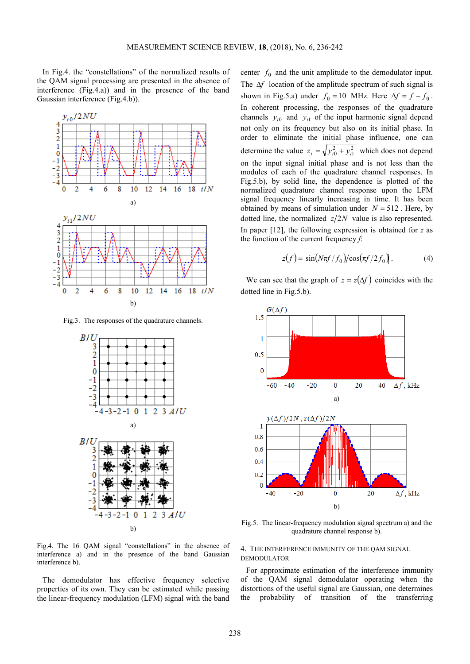In Fig.4. the "constellations" of the normalized results of the QAM signal processing are presented in the absence of interference (Fig.4.а)) and in the presence of the band Gaussian interference (Fig.4.b)).



Fig.3. The responses of the quadrature channels.



Fig.4. The 16 QAM signal "constellations" in the absence of interference а) and in the presence of the band Gaussian interference b).

The demodulator has effective frequency selective properties of its own. They can be estimated while passing the linear-frequency modulation (LFM) signal with the band

center  $f_0$  and the unit amplitude to the demodulator input. The ∆*f* location of the amplitude spectrum of such signal is shown in Fig.5.a) under  $f_0 = 10$  MHz. Here  $\Delta f = f - f_0$ . In coherent processing, the responses of the quadrature channels  $y_{i0}$  and  $y_{i1}$  of the input harmonic signal depend not only on its frequency but also on its initial phase. In order to eliminate the initial phase influence, one can determine the value  $z_i = \sqrt{y_{i0}^2 + y_{i1}^2}$  which does not depend on the input signal initial phase and is not less than the modules of each of the quadrature channel responses. In Fig.5.b), by solid line, the dependence is plotted of the normalized quadrature channel response upon the LFM signal frequency linearly increasing in time. It has been obtained by means of simulation under  $N = 512$ . Here, by dotted line, the normalized  $z/2N$  value is also represented. In paper [12], the following expression is obtained for *z* as the function of the current frequency *f*:

$$
z(f) = \left| \sin(N\pi f/f_0) / \cos(\pi f/2f_0) \right|.
$$
 (4)

We can see that the graph of  $z = z(\Delta f)$  coincides with the dotted line in Fig.5.b).



Fig.5. The linear-frequency modulation signal spectrum a) and the quadrature channel response b).

## 4. THE INTERFERENCE IMMUNITY OF THE QAM SIGNAL DEMODULATOR

For approximate estimation of the interference immunity of the QAM signal demodulator operating when the distortions of the useful signal are Gaussian, one determines the probability of transition of the transferring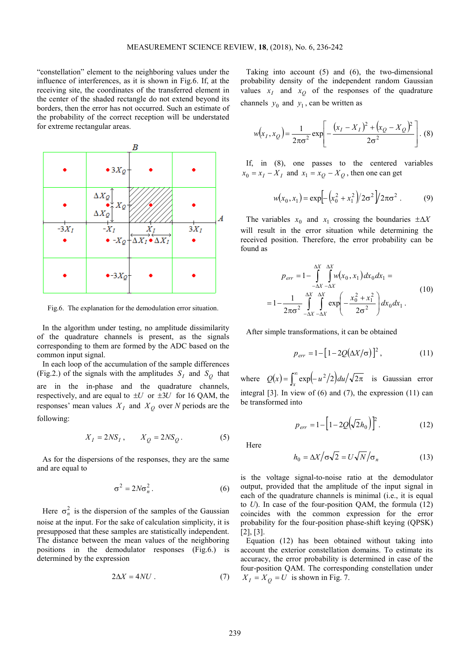"constellation" element to the neighboring values under the influence of interferences, as it is shown in Fig.6. If, at the receiving site, the coordinates of the transferred element in the center of the shaded rectangle do not extend beyond its borders, then the error has not occurred. Such an estimate of the probability of the correct reception will be understated for extreme rectangular areas.



Fig.6. The explanation for the demodulation error situation.

In the algorithm under testing, no amplitude dissimilarity of the quadrature channels is present, as the signals corresponding to them are formed by the ADC based on the common input signal.

In each loop of the accumulation of the sample differences (Fig.2.) of the signals with the amplitudes  $S_I$  and  $S_Q$  that are in the in-phase and the quadrature channels, respectively, and are equal to  $\pm U$  or  $\pm 3U$  for 16 QAM, the responses' mean values  $X_I$  and  $X_Q$  over *N* periods are the following:

$$
X_I = 2NS_I, \qquad X_Q = 2NS_Q. \tag{5}
$$

As for the dispersions of the responses, they are the same and are equal to

$$
\sigma^2 = 2N\sigma_n^2. \tag{6}
$$

Here  $\sigma_n^2$  is the dispersion of the samples of the Gaussian noise at the input. For the sake of calculation simplicity, it is presupposed that these samples are statistically independent. The distance between the mean values of the neighboring positions in the demodulator responses (Fig.6.) is determined by the expression

$$
2\Delta X = 4NU \tag{7}
$$

Taking into account (5) and (6), the two-dimensional probability density of the independent random Gaussian values  $x_I$  and  $x_Q$  of the responses of the quadrature channels  $y_0$  and  $y_1$ , can be written as

$$
w(x_1, x_Q) = \frac{1}{2\pi\sigma^2} \exp\left[-\frac{(x_1 - X_I)^2 + (x_Q - X_Q)^2}{2\sigma^2}\right].
$$
 (8)

If, in (8), one passes to the centered variables  $x_0 = x_I - X_I$  and  $x_1 = x_Q - X_Q$ , then one can get

$$
w(x_0, x_1) = \exp\left[-\left(x_0^2 + x_1^2\right)/2\sigma^2\right]/2\pi\sigma^2\ .
$$
 (9)

The variables  $x_0$  and  $x_1$  crossing the boundaries  $\pm \Delta X$ will result in the error situation while determining the received position. Therefore, the error probability can be found as

$$
p_{err} = 1 - \int_{-\Delta X}^{\Delta X} \int_{-\Delta X}^{\Delta X} w(x_0, x_1) dx_0 dx_1 =
$$
  
= 
$$
1 - \frac{1}{2\pi\sigma^2} \int_{-\Delta X}^{\Delta X} \int_{-\Delta X}^{\Delta X} \exp\left(-\frac{x_0^2 + x_1^2}{2\sigma^2}\right) dx_0 dx_1.
$$
 (10)

After simple transformations, it can be obtained

$$
p_{err} = 1 - [1 - 2Q(\Delta X/\sigma)]^2, \qquad (11)
$$

where  $Q(x) = \int_x^{\infty} \exp(-u^2/2) du / \sqrt{2\pi}$  is Gaussian error integral  $[3]$ . In view of  $(6)$  and  $(7)$ , the expression  $(11)$  can be transformed into

$$
p_{err} = 1 - \left[1 - 2Q(\sqrt{2}h_0)\right]^2.
$$
 (12)

Here

$$
h_0 = \Delta X / \sigma \sqrt{2} = U \sqrt{N} / \sigma_n \tag{13}
$$

is the voltage signal-to-noise ratio at the demodulator output, provided that the amplitude of the input signal in each of the quadrature channels is minimal (i.e., it is equal to *U*). In case of the four-position QAM, the formula (12) coincides with the common expression for the error probability for the four-position phase-shift keying (QPSK) [2], [3].

Equation (12) has been obtained without taking into account the exterior constellation domains. To estimate its accuracy, the error probability is determined in case of the four-position QAM. The corresponding constellation under  $X_I = X_O = U$  is shown in Fig. 7.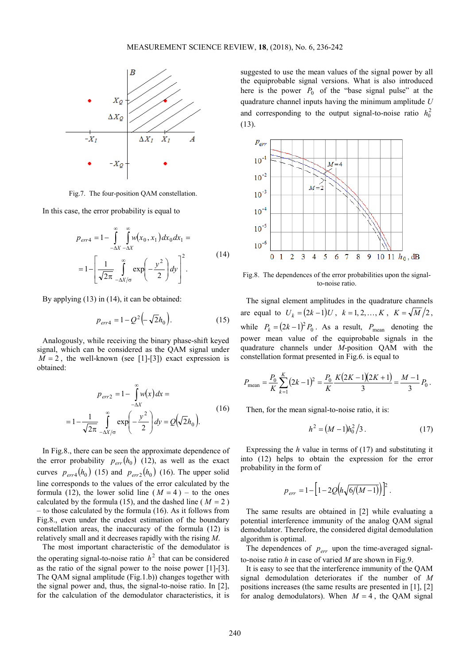

Fig.7. The four-position QAM constellation.

In this case, the error probability is equal to

$$
p_{err4} = 1 - \int_{-\Delta X}^{\infty} \int_{-\Delta X}^{\infty} w(x_0, x_1) dx_0 dx_1 =
$$
  

$$
= 1 - \left[ \frac{1}{\sqrt{2\pi}} \int_{-\Delta X/\sigma}^{\infty} \exp\left(-\frac{y^2}{2}\right) dy \right]^2.
$$
 (14)

By applying (13) in (14), it can be obtained:

$$
p_{err4} = 1 - Q^2 \left( -\sqrt{2}h_0 \right). \tag{15}
$$

Analogously, while receiving the binary phase-shift keyed signal, which can be considered as the QAM signal under  $M = 2$ , the well-known (see [1]-[3]) exact expression is obtained:

$$
p_{err2} = 1 - \int_{-\Delta X}^{\infty} w(x) dx =
$$

$$
= 1 - \frac{1}{\sqrt{2\pi}} \int_{-\Delta X/\sigma}^{\infty} \exp\left(-\frac{y^2}{2}\right) dy = Q\left(\sqrt{2}h_0\right).
$$
(16)

In Fig.8., there can be seen the approximate dependence of the error probability  $p_{err}(h_0)$  (12), as well as the exact curves  $p_{err4}(h_0)$  (15) and  $p_{err2}(h_0)$  (16). The upper solid line corresponds to the values of the error calculated by the formula (12), the lower solid line  $(M = 4)$  – to the ones calculated by the formula (15), and the dashed line ( $M = 2$ ) – to those calculated by the formula (16). As it follows from Fig.8., even under the crudest estimation of the boundary constellation areas, the inaccuracy of the formula (12) is relatively small and it decreases rapidly with the rising *M*.

The most important characteristic of the demodulator is the operating signal-to-noise ratio  $h<sup>2</sup>$  that can be considered as the ratio of the signal power to the noise power [1]-[3]. The QAM signal amplitude (Fig.1.b)) changes together with the signal power and, thus, the signal-to-noise ratio. In [2], for the calculation of the demodulator characteristics, it is

suggested to use the mean values of the signal power by all the equiprobable signal versions. What is also introduced here is the power  $P_0$  of the "base signal pulse" at the quadrature channel inputs having the minimum amplitude *U* and corresponding to the output signal-to-noise ratio  $h_0^2$ (13).



Fig.8. The dependences of the error probabilities upon the signalto-noise ratio.

The signal element amplitudes in the quadrature channels are equal to  $U_k = (2k-1)U$ ,  $k = 1, 2, ..., K$ ,  $K = \sqrt{M}/2$ , while  $P_k = (2k-1)^2 P_0$ . As a result,  $P_{\text{mean}}$  denoting the power mean value of the equiprobable signals in the quadrature channels under *M*-position QAM with the constellation format presented in Fig.6. is equal to

$$
P_{\text{mean}} = \frac{P_0}{K} \sum_{k=1}^{K} (2k-1)^2 = \frac{P_0}{K} \frac{K(2K-1)(2K+1)}{3} = \frac{M-1}{3} P_0.
$$

Then, for the mean signal-to-noise ratio, it is:

$$
h^2 = (M-1)h_0^2/3.
$$
 (17)

Expressing the *h* value in terms of (17) and substituting it into (12) helps to obtain the expression for the error probability in the form of

$$
p_{err} = 1 - \left[1 - 2Q\left(h\sqrt{6/(M-1)}\right)\right]^2.
$$

The same results are obtained in [2] while evaluating a potential interference immunity of the analog QAM signal demodulator. Therefore, the considered digital demodulation algorithm is optimal.

The dependences of  $p_{err}$  upon the time-averaged signalto-noise ratio *h* in case of varied *M* are shown in Fig.9.

It is easy to see that the interference immunity of the QAM signal demodulation deteriorates if the number of *M* positions increases (the same results are presented in [1], [2] for analog demodulators). When  $M = 4$ , the QAM signal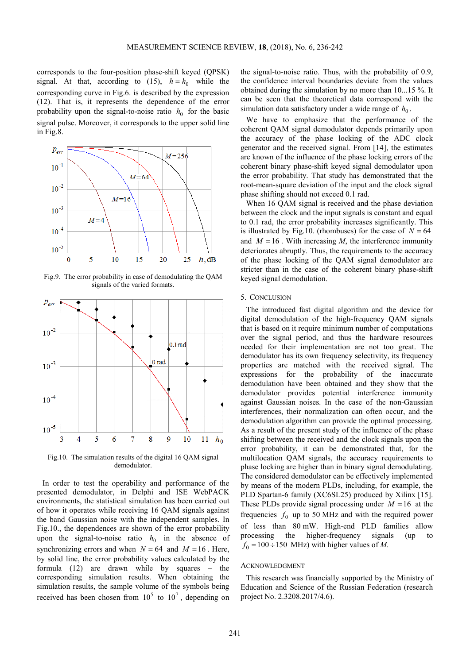corresponds to the four-position phase-shift keyed (QPSK) signal. At that, according to (15),  $h = h_0$  while the corresponding curve in Fig.6. is described by the expression (12). That is, it represents the dependence of the error probability upon the signal-to-noise ratio  $h_0$  for the basic signal pulse. Moreover, it corresponds to the upper solid line in Fig.8.



Fig.9. The error probability in case of demodulating the QAM signals of the varied formats.



Fig.10. The simulation results of the digital 16 QAM signal demodulator.

In order to test the operability and performance of the presented demodulator, in Delphi and ISE WebPACK environments, the statistical simulation has been carried out of how it operates while receiving 16 QAM signals against the band Gaussian noise with the independent samples. In Fig.10., the dependences are shown of the error probability upon the signal-to-noise ratio  $h_0$  in the absence of synchronizing errors and when  $N = 64$  and  $M = 16$ . Here, by solid line, the error probability values calculated by the formula (12) are drawn while by squares – the corresponding simulation results. When obtaining the simulation results, the sample volume of the symbols being received has been chosen from  $10^5$  to  $10^7$ , depending on the signal-to-noise ratio. Thus, with the probability of 0.9, the confidence interval boundaries deviate from the values obtained during the simulation by no more than 10...15 %. It can be seen that the theoretical data correspond with the simulation data satisfactory under a wide range of  $h_0$ .

We have to emphasize that the performance of the coherent QAM signal demodulator depends primarily upon the accuracy of the phase locking of the ADC clock generator and the received signal. From [14], the estimates are known of the influence of the phase locking errors of the coherent binary phase-shift keyed signal demodulator upon the error probability. That study has demonstrated that the root-mean-square deviation of the input and the clock signal phase shifting should not exceed 0.1 rad.

When 16 QAM signal is received and the phase deviation between the clock and the input signals is constant and equal to 0.1 rad, the error probability increases significantly. This is illustrated by Fig.10. (rhombuses) for the case of  $N = 64$ and  $M = 16$ . With increasing  $M$ , the interference immunity deteriorates abruptly. Thus, the requirements to the accuracy of the phase locking of the QAM signal demodulator are stricter than in the case of the coherent binary phase-shift keyed signal demodulation.

## 5. CONCLUSION

The introduced fast digital algorithm and the device for digital demodulation of the high-frequency QAM signals that is based on it require minimum number of computations over the signal period, and thus the hardware resources needed for their implementation are not too great. The demodulator has its own frequency selectivity, its frequency properties are matched with the received signal. The expressions for the probability of the inaccurate demodulation have been obtained and they show that the demodulator provides potential interference immunity against Gaussian noises. In the case of the non-Gaussian interferences, their normalization can often occur, and the demodulation algorithm can provide the optimal processing. As a result of the present study of the influence of the phase shifting between the received and the clock signals upon the error probability, it can be demonstrated that, for the multilocation QAM signals, the accuracy requirements to phase locking are higher than in binary signal demodulating. The considered demodulator can be effectively implemented by means of the modern PLDs, including, for example, the PLD Spartan-6 family (XC6SL25) produced by Xilinx [15]. These PLDs provide signal processing under  $M = 16$  at the frequencies  $f_0$  up to 50 MHz and with the required power of less than 80 mW. High-end PLD families allow processing the higher-frequency signals (up to  $f_0 = 100 \div 150$  MHz) with higher values of *M*.

#### ACKNOWLEDGMENT

This research was financially supported by the Ministry of Education and Science of the Russian Federation (research project No. 2.3208.2017/4.6).